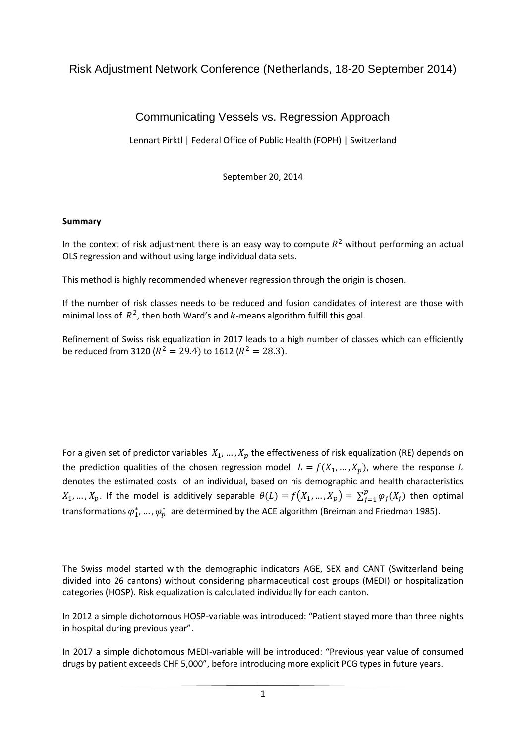# Risk Adjustment Network Conference (Netherlands, 18-20 September 2014)

# Communicating Vessels vs. Regression Approach

Lennart Pirktl | [Federal Office of Public Health \(FOPH\)](http://www.bag.admin.ch/index.html?lang=en) | Switzerland

September 20, 2014

### **Summary**

In the context of risk adjustment there is an easy way to compute  $R^2$  without performing an actual OLS regression and without using large individual data sets.

This method is highly recommended whenever regression through the origin is chosen.

If the number of risk classes needs to be reduced and fusion candidates of interest are those with minimal loss of  $R^2$ , then both Ward's and  $k$ -means algorithm fulfill this goal.

Refinement of Swiss risk equalization in 2017 leads to a high number of classes which can efficiently be reduced from 3120 ( $R^2 = 29.4$ ) to 1612 ( $R^2 = 28.3$ ).

For a given set of predictor variables  $X_1, ..., X_p$  the effectiveness of risk equalization (RE) depends on the prediction qualities of the chosen regression model  $L = f(X_1, ..., X_n)$ , where the response L denotes the estimated costs of an individual, based on his demographic and health characteristics  $X_1, ..., X_p$ . If the model is additively separable  $\theta(L) = f(X_1, ..., X_p) = \sum_{i=1}^{p} f(X_i)$  $t_{j=1}^{p} \varphi_j(X_j)$  then optimal transformations  $\varphi_1^*$ , ...,  $\varphi_p^*$  are determined by the ACE algorithm (Breiman and Friedman 1985).

The Swiss model started with the demographic indicators AGE, SEX and CANT (Switzerland being divided into 26 cantons) without considering pharmaceutical cost groups (MEDI) or hospitalization categories (HOSP). Risk equalization is calculated individually for each canton.

In 2012 a simple dichotomous HOSP-variable was introduced: "Patient stayed more than three nights in hospital during previous year".

In 2017 a simple dichotomous MEDI-variable will be introduced: "Previous year value of consumed drugs by patient exceeds CHF 5,000", before introducing more explicit PCG types in future years.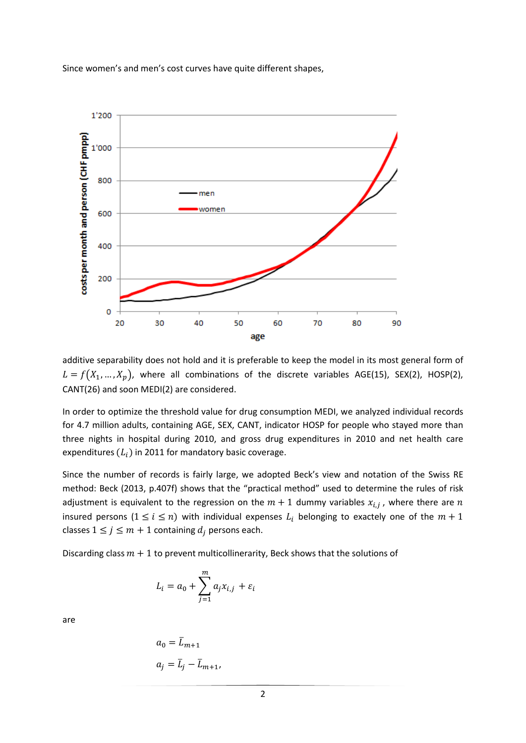Since women's and men's cost curves have quite different shapes,



additive separability does not hold and it is preferable to keep the model in its most general form of  $L = f(X_1, ..., X_p)$ , where all combinations of the discrete variables AGE(15), SEX(2), HOSP(2), CANT(26) and soon MEDI(2) are considered.

In order to optimize the threshold value for drug consumption MEDI, we analyzed individual records for 4.7 million adults, containing AGE, SEX, CANT, indicator HOSP for people who stayed more than three nights in hospital during 2010, and gross drug expenditures in 2010 and net health care expenditures  $(L_i)$  in 2011 for mandatory basic coverage.

Since the number of records is fairly large, we adopted Beck's view and notation of the Swiss RE method: Beck (2013, p.407f) shows that the "practical method" used to determine the rules of risk adjustment is equivalent to the regression on the  $m+1$  dummy variables  $x_{i,j}$ , where there are insured persons  $(1 \le i \le n)$  with individual expenses  $L_i$  belonging to exactely one of the  $m + 1$ classes  $1 \le j \le m + 1$  containing  $d_i$  persons each.

Discarding class  $m + 1$  to prevent [multicollinerarity,](https://www.google.ch/search?espv=2&biw=1455&bih=705&q=multicollinerarity&nfpr=1&sa=X&ei=zmTGU-iFAuXQ7AaP2IDQCg&ved=0CBoQvgUoAQ) Beck shows that the solutions of

$$
L_i = a_0 + \sum_{j=1}^m a_j x_{i,j} + \varepsilon_i
$$

are

$$
a_0 = \overline{L}_{m+1}
$$
  

$$
a_j = \overline{L}_j - \overline{L}_{m+1},
$$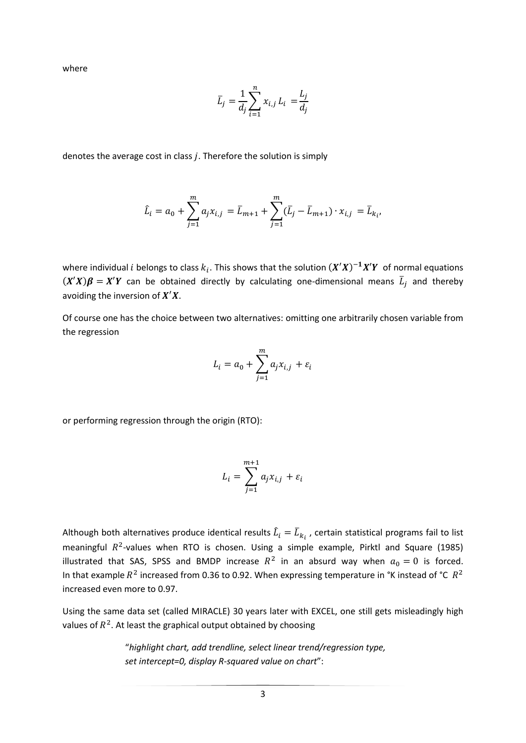where

$$
\bar{L}_j = \frac{1}{d_j} \sum_{i=1}^n x_{i,j} L_i = \frac{L_j}{d_j}
$$

denotes the average cost in class  $j$ . Therefore the solution is simply

$$
\hat{L}_i = a_0 + \sum_{j=1}^m a_j x_{i,j} = \bar{L}_{m+1} + \sum_{j=1}^m (\bar{L}_j - \bar{L}_{m+1}) \cdot x_{i,j} = \bar{L}_{k_i},
$$

where individual i belongs to class  $k_i$ . This shows that the solution  $(X'X)^{-1}X'Y$  of normal equations  $(X'X)\beta = X'Y$  can be obtained directly by calculating one-dimensional means  $\overline{L}_j$  and thereby avoiding the inversion of  $X'X$ .

Of course one has the choice between two alternatives: omitting one arbitrarily chosen variable from the regression

$$
L_i = a_0 + \sum_{j=1}^m a_j x_{i,j} + \varepsilon_i
$$

or performing regression through the origin (RTO):

$$
L_i = \sum_{j=1}^{m+1} a_j x_{i,j} + \varepsilon_i
$$

Although both alternatives produce identical results  $\widehat{L}_t=\bar{L}_{k_t}$  , certain statistical programs fail to list meaningful  $R^2$ -values when RTO is chosen. Using a simple example, Pirktl and Square (1985) illustrated that SAS, SPSS and BMDP increase  $R^2$  in an absurd way when  $a_0 = 0$  is forced. In that example  $R^2$  increased from 0.36 to 0.92. When expressing temperature in °K instead of °C  $R^2$ increased even more to 0.97.

Using the same data set (called MIRACLE) 30 years later with EXCEL, one still gets misleadingly high values of  $R^2$ . At least the graphical output obtained by choosing

> "*highlight chart, add trendline, select linear trend/regression type, set intercept=0, display R-squared value on chart*":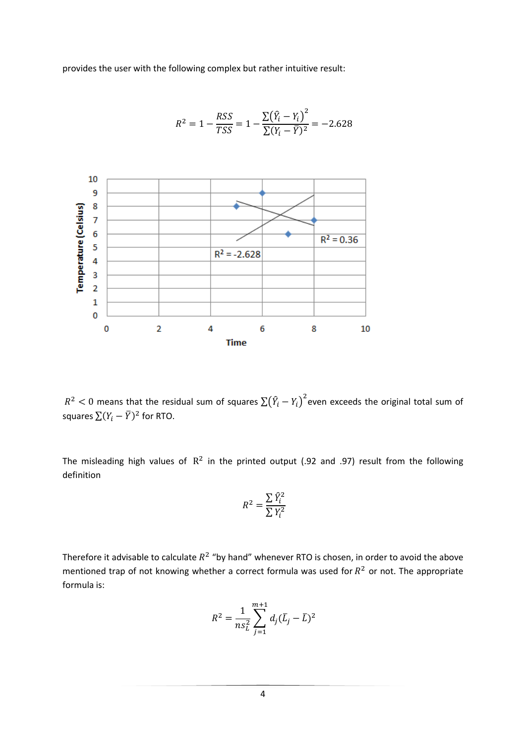provides the user with the following complex but rather intuitive result:



$$
R^{2} = 1 - \frac{RSS}{TSS} = 1 - \frac{\sum (\hat{Y}_{i} - Y_{i})^{2}}{\sum (Y_{i} - \overline{Y})^{2}} = -2.628
$$

 $R^2 < 0$  means that the residual sum of squares  $\sum (\widehat{Y}_i$  $2$  even exceeds the original total sum of squares  $\sum (Y_i - \overline{Y})^2$  for RTO.

The misleading high values of  $R^2$  in the printed output (.92 and .97) result from the following definition

$$
R^2 = \frac{\sum \hat{Y}_i^2}{\sum Y_i^2}
$$

Therefore it advisable to calculate  $R^2$  "by hand" whenever RTO is chosen, in order to avoid the above mentioned trap of not knowing whether a correct formula was used for  $R^2$  or not. The appropriate formula is:

$$
R^{2} = \frac{1}{n s_{L}^{2}} \sum_{j=1}^{m+1} d_{j} (\bar{L}_{j} - \bar{L})^{2}
$$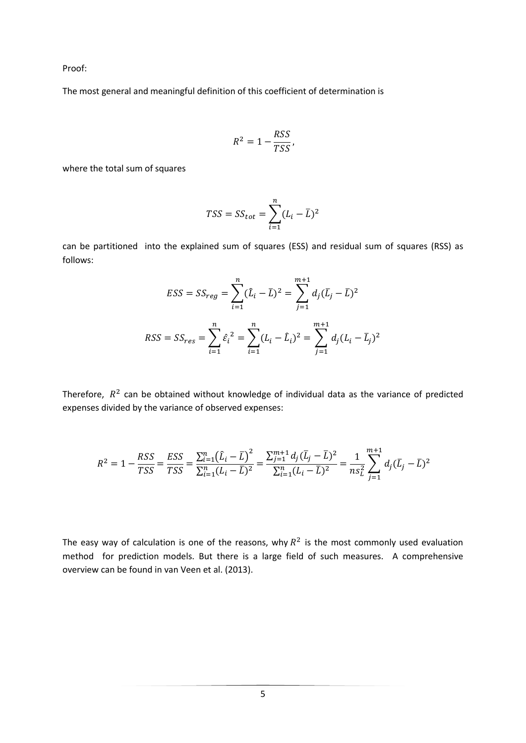Proof:

The most general and meaningful definition of this coefficient of determination is

$$
R^2 = 1 - \frac{RSS}{TSS},
$$

where the total sum of squares

$$
TSS = SS_{tot} = \sum_{i=1}^{n} (L_i - \overline{L})^2
$$

can be partitioned into the explained sum of squares (ESS) and residual sum of squares (RSS) as follows:

$$
ESS = SS_{reg} = \sum_{i=1}^{n} (\hat{L}_i - \bar{L})^2 = \sum_{j=1}^{m+1} d_j (\bar{L}_j - \bar{L})^2
$$
  

$$
RSS = SS_{res} = \sum_{i=1}^{n} \hat{\varepsilon}_i^2 = \sum_{i=1}^{n} (L_i - \hat{L}_i)^2 = \sum_{j=1}^{m+1} d_j (L_i - \bar{L}_j)^2
$$

Therefore,  $R^2$  can be obtained without knowledge of individual data as the variance of predicted expenses divided by the variance of observed expenses:

$$
R^2 = 1 - \frac{RSS}{TSS} = \frac{ESS}{TSS} = \frac{\sum_{i=1}^{n} (\hat{L}_i - \bar{L})^2}{\sum_{i=1}^{n} (L_i - \bar{L})^2} = \frac{\sum_{j=1}^{m+1} d_j (\bar{L}_j - \bar{L})^2}{\sum_{i=1}^{n} (L_i - \bar{L})^2} = \frac{1}{n s_L^2} \sum_{j=1}^{m+1} d_j (\bar{L}_j - \bar{L})^2
$$

The easy way of calculation is one of the reasons, why  $R^2$  is the most commonly used evaluation method for prediction models. But there is a large field of such measures. A comprehensive overview can be found in van Veen et al. (2013).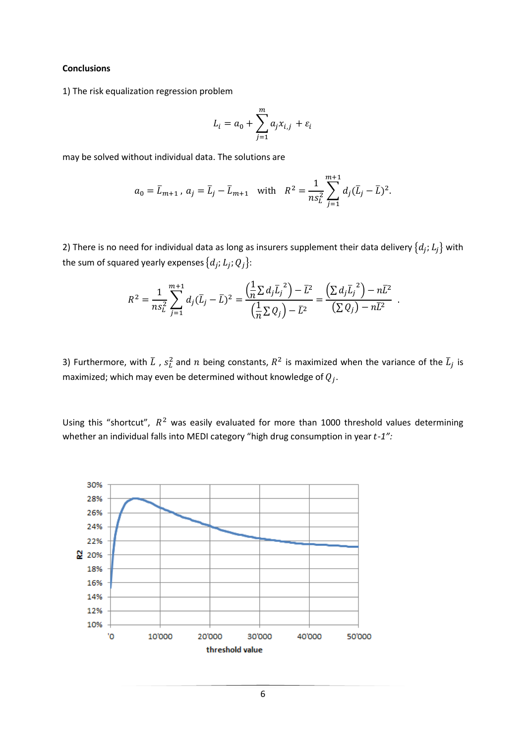#### **Conclusions**

1) The risk equalization regression problem

$$
L_i = a_0 + \sum_{j=1}^m a_j x_{i,j} + \varepsilon_i
$$

may be solved without individual data. The solutions are

$$
a_0 = \bar{L}_{m+1}
$$
,  $a_j = \bar{L}_j - \bar{L}_{m+1}$  with  $R^2 = \frac{1}{n s_L^2} \sum_{j=1}^{m+1} d_j (\bar{L}_j - \bar{L})^2$ .

2) There is no need for individual data as long as insurers supplement their data delivery  $\{d_j, L_j\}$  with the sum of squared yearly expenses  $\{d_j; L_j; Q_j\}$ :

$$
R^{2} = \frac{1}{n s_{L}^{2}} \sum_{j=1}^{m+1} d_{j} (\bar{L}_{j} - \bar{L})^{2} = \frac{\left(\frac{1}{n} \sum d_{j} \bar{L}_{j}^{2}\right) - \bar{L}^{2}}{\left(\frac{1}{n} \sum Q_{j}\right) - \bar{L}^{2}} = \frac{\left(\sum d_{j} \bar{L}_{j}^{2}\right) - n \bar{L}^{2}}{\left(\sum Q_{j}\right) - n \bar{L}^{2}}
$$

 $\overline{\phantom{a}}$ 

3) Furthermore, with  $\bar L$  ,  $s_L^2$  and  $n$  being constants,  $R^2$  is maximized when the variance of the  $\bar L_j$  is maximized; which may even be determined without knowledge of  $Q_j$ .

Using this "shortcut",  $R^2$  was easily evaluated for more than 1000 threshold values determining whether an individual falls into MEDI category "high drug consumption in year *-1":*

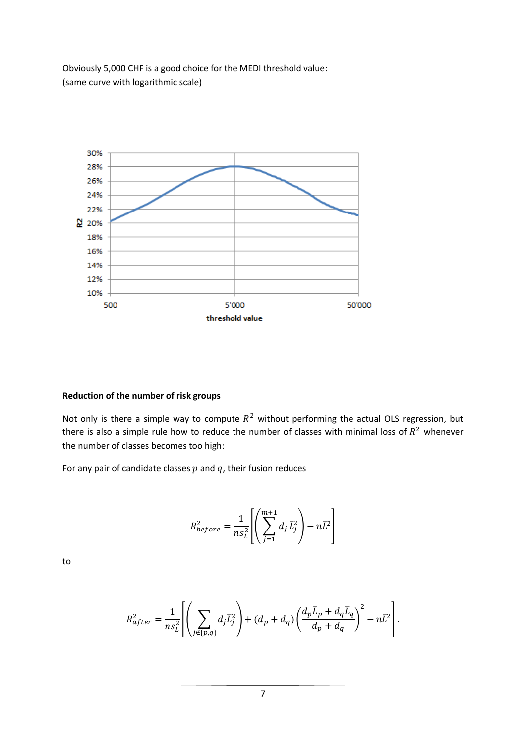Obviously 5,000 CHF is a good choice for the MEDI threshold value: (same curve with logarithmic scale)



### **Reduction of the number of risk groups**

Not only is there a simple way to compute  $R^2$  without performing the actual OLS regression, but there is also a simple rule how to reduce the number of classes with minimal loss of  $R^2$  whenever the number of classes becomes too high:

For any pair of candidate classes  $p$  and  $q$ , their fusion reduces

$$
R_{before}^2 = \frac{1}{n s_L^2} \left[ \left( \sum_{j=1}^{m+1} d_j \, \overline{L}_j^2 \right) - n \overline{L}^2 \right]
$$

to

$$
R_{after}^2 = \frac{1}{n s_L^2} \left[ \left( \sum_{j \notin \{p,q\}} d_j \overline{L}_j^2 \right) + (d_p + d_q) \left( \frac{d_p \overline{L}_p + d_q \overline{L}_q}{d_p + d_q} \right)^2 - n \overline{L}^2 \right].
$$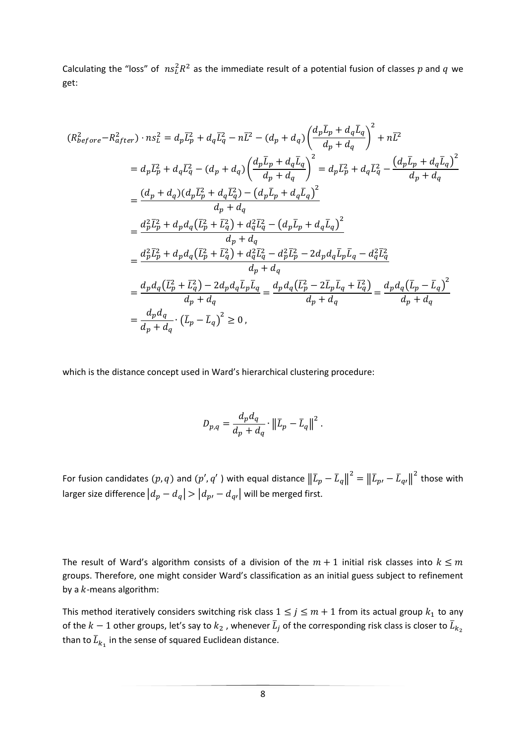Calculating the "loss" of  $n s_L^2 R^2$  as the immediate result of a potential fusion of classes p and q we get:

$$
(R_{before}^{2} - R_{after}^{2}) \cdot ns_{L}^{2} = d_{p}\overline{L}_{p}^{2} + d_{q}\overline{L}_{q}^{2} - n\overline{L}^{2} - (d_{p} + d_{q})\left(\frac{d_{p}\overline{L}_{p} + d_{q}\overline{L}_{q}}{d_{p} + d_{q}}\right)^{2} + n\overline{L}^{2}
$$
  
\n
$$
= d_{p}\overline{L}_{p}^{2} + d_{q}\overline{L}_{q}^{2} - (d_{p} + d_{q})\left(\frac{d_{p}\overline{L}_{p} + d_{q}\overline{L}_{q}}{d_{p} + d_{q}}\right)^{2} = d_{p}\overline{L}_{p}^{2} + d_{q}\overline{L}_{q}^{2} - \frac{(d_{p}\overline{L}_{p} + d_{q}\overline{L}_{q})^{2}}{d_{p} + d_{q}}
$$
  
\n
$$
= \frac{(d_{p} + d_{q})(d_{p}\overline{L}_{p}^{2} + d_{q}\overline{L}_{q}^{2}) - (d_{p}\overline{L}_{p} + d_{q}\overline{L}_{q})^{2}}{d_{p} + d_{q}}
$$
  
\n
$$
= \frac{d_{p}^{2}\overline{L}_{p}^{2} + d_{p}d_{q}(\overline{L}_{p}^{2} + \overline{L}_{q}^{2}) + d_{q}^{2}\overline{L}_{q}^{2} - (d_{p}\overline{L}_{p} + d_{q}\overline{L}_{q})^{2}}{d_{p} + d_{q}}
$$
  
\n
$$
= \frac{d_{p}^{2}\overline{L}_{p}^{2} + d_{p}d_{q}(\overline{L}_{p}^{2} + \overline{L}_{q}^{2}) + d_{q}^{2}\overline{L}_{q}^{2} - d_{p}^{2}\overline{L}_{p}^{2} - 2d_{p}d_{q}\overline{L}_{p}\overline{L}_{q} - d_{q}^{2}\overline{L}_{q}^{2}}{d_{p} + d_{q}}
$$
  
\n
$$
= \frac{d_{p}d_{q}(\overline{L}_{p}^{2} + \overline{L}_{q}^{2}) - 2d_{p}d_{q}\overline{L}_{p}\overline{L}_{q}}{d_{p} + d_{q}} = \frac{d_{p}d_{q}(\overline{L
$$

which is the distance concept used in Ward's hierarchical clustering procedure:

$$
D_{p,q} = \frac{d_p d_q}{d_p + d_q} \cdot \left\| \overline{L}_p - \overline{L}_q \right\|^2.
$$

For fusion candidates  $(p,q)$  and  $(p^{\prime},q^{\prime}$  ) with equal distance  $\|L_p-L_q\|$  $\bar{L}^2 = ||\bar{L}_{p'} - \bar{L}_q$  $2$  those with larger size difference  $|d_p - d_q| > |d_{p'} - d_{q'}|$  will be merged first.

The result of Ward's algorithm consists of a division of the  $m+1$  initial risk classes into  $k \leq m$ groups. Therefore, one might consider Ward's classification as an initial guess subject to refinement by a  $k$ -means algorithm:

This method iteratively considers switching risk class  $1 \le j \le m + 1$  from its actual group  $k_1$  to any of the  $k-1$  other groups, let's say to  $k_2$  , whenever  $\bar L_j$  of the corresponding risk class is closer to  $\bar L_k$ than to  $\bar{L}_{k_{1}}$  in the sense of squared Euclidean distance.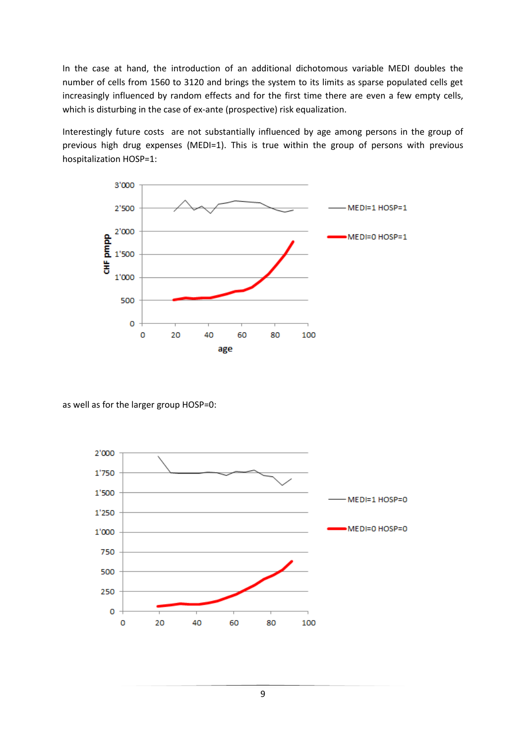In the case at hand, the introduction of an additional dichotomous variable MEDI doubles the number of cells from 1560 to 3120 and brings the system to its limits as sparse populated cells get increasingly influenced by random effects and for the first time there are even a few empty cells, which is disturbing in the case of ex-ante (prospective) risk equalization.

Interestingly future costs are not substantially influenced by age among persons in the group of previous high drug expenses (MEDI=1). This is true within the group of persons with previous hospitalization HOSP=1:



as well as for the larger group HOSP=0:

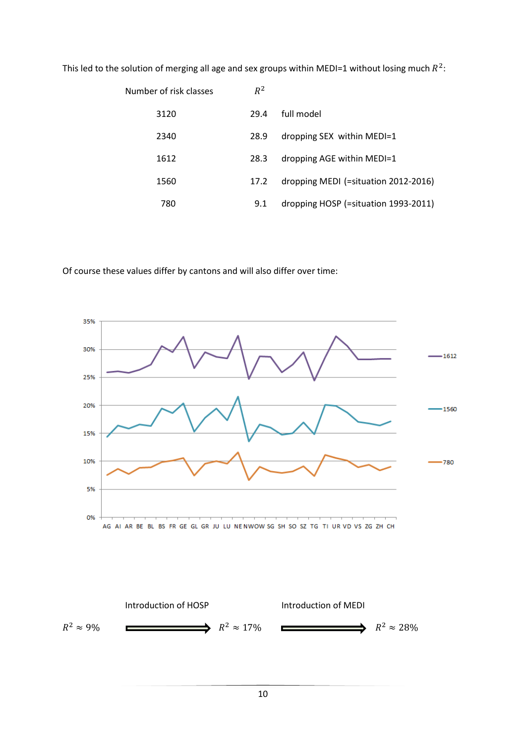This led to the solution of merging all age and sex groups within MEDI=1 without losing much  $R^2$ :

| Number of risk classes | $R^2$ |                                      |
|------------------------|-------|--------------------------------------|
| 3120                   | 29.4  | full model                           |
| 2340                   | 28.9  | dropping SEX within MEDI=1           |
| 1612                   | 28.3  | dropping AGE within MEDI=1           |
| 1560                   | 17.2  | dropping MEDI (=situation 2012-2016) |
| 780                    | 9.1   | dropping HOSP (=situation 1993-2011) |

Of course these values differ by cantons and will also differ over time:



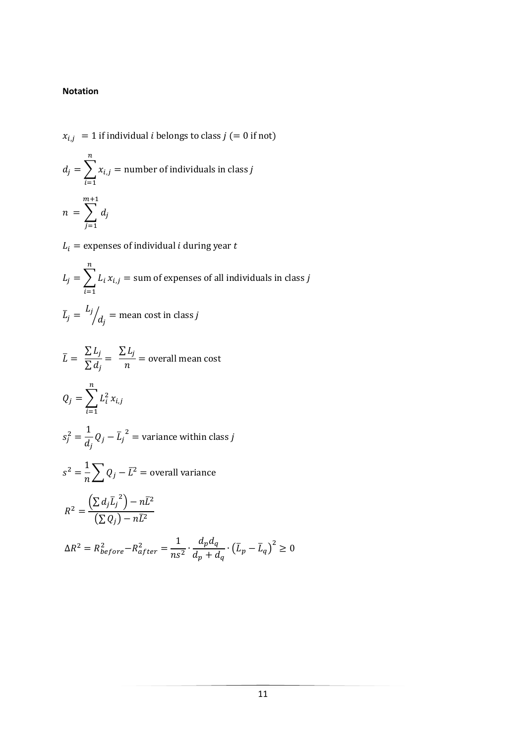## **Notation**

$$
x_{i,j} = 1
$$
 if individual *i* belongs to class *j* (= 0 if not)

$$
d_j = \sum_{i=1}^{n} x_{i,j} = \text{number of individuals in class } j
$$
  

$$
n = \sum_{j=1}^{m+1} d_j
$$

 $L_i$  = expenses of individual *i* during year *t* 

$$
L_j = \sum_{i=1}^{n} L_i x_{i,j} = \text{sum of expenses of all individuals in class } j
$$

$$
\bar{L}_j = \frac{L_j}{d_j} = \text{mean cost in class } j
$$

$$
\overline{L} = \frac{\sum L_j}{\sum d_j} = \frac{\sum L_j}{n} = \text{overall mean cost}
$$

$$
Q_j = \sum_{i=1}^n L_i^2 x_{i,j}
$$

$$
s_j^2 = \frac{1}{d_j} Q_j - \overline{L_j}^2
$$
 = variance within class *j*

$$
s^{2} = \frac{1}{n} \sum Q_{j} - \overline{L}^{2} = \text{overall variance}
$$
\n
$$
R^{2} = \frac{\left(\sum d_{j} \overline{L}_{j}^{2}\right) - n\overline{L}^{2}}{\left(\sum Q_{j}\right) - n\overline{L}^{2}}
$$
\n
$$
\Delta R^{2} = R_{before}^{2} - R_{after}^{2} = \frac{1}{n s^{2}} \cdot \frac{d_{p} d_{q}}{d_{p} + d_{q}} \cdot \left(\overline{L}_{p} - \overline{L}_{q}\right)^{2} \ge 0
$$